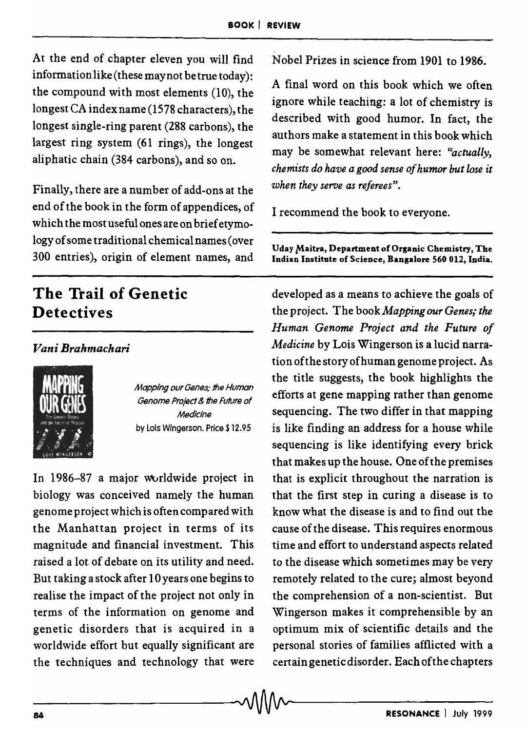At the end of chapter eleven you will find informationlike (these may not be true today): the compound with most elements (10), the longest CA index name (1578 characters), the longest single-ring parent (288 carbons), the largest ring system (61 rings), the longest aliphatic chain (384 carbons), and so on.

Finally, there are a number of add-ons at the end of the book in the form of appendices, of which the most useful ones are on brief etymology of some traditional chemical names (over 300 entries), origin of element names, and

## The Trail of Genetic **Detectives**

*Vani Brahmachari* 



Mapping our Genes,' the Human Genome Project & the Future of Medicine by lois Wingerson. Price \$12.95

In  $1986-87$  a major worldwide project in biology was conceived namely the human genome project which is often compared with the Manhattan project in terms of its magnitude and financial investment. This raised a lot of debate on its utility and need. But taking a stock after 10 years one begins to realise the impact of the project not only in terms of the information on genome and genetic disorders that is acquired in a worldwide effort but equally significant are the techniques and technology that were Nobel Prizes in science from 1901 to 1986.

A final word on this book which we often ignore while teaching: a lot of chemistry is described with good humor. In fact, the authors make a statement in this book which may be somewhat relevant here: *"actually, chemists do have a good sense of humor but lose it when they serve as referees".* 

I recommend the book to everyone.

Uday Maitra, Department of Organic Chemistry, The Indian Institute of Science, Bangalore 560 012, India.

developed as a means to achieve the goals of the project. The book *Mapping our Genes; the Human Genome Project and the Future of Medicine* by Lois Wingerson is a lucid narration of the story of human genome project. As the title suggests, the book highlights the efforts at gene mapping rather than genome sequencing. The two differ in that mapping is like finding an address for a house while sequencing is like identifying every brick that makes up the house. One of the premises that is explicit throughout the narration is that the first step in curing a disease is to know what the disease is and to find out the cause of the disease. This requires enormous time and effort to understand aspects related to the disease which sometimes may be very remotely related to the cure; almost beyond the comprehension of a non-scientist. But Wingerson makes it comprehensible by an optimum mix of scientific details and the personal stories of families afflicted with a certain genetic disorder. Each of the chapters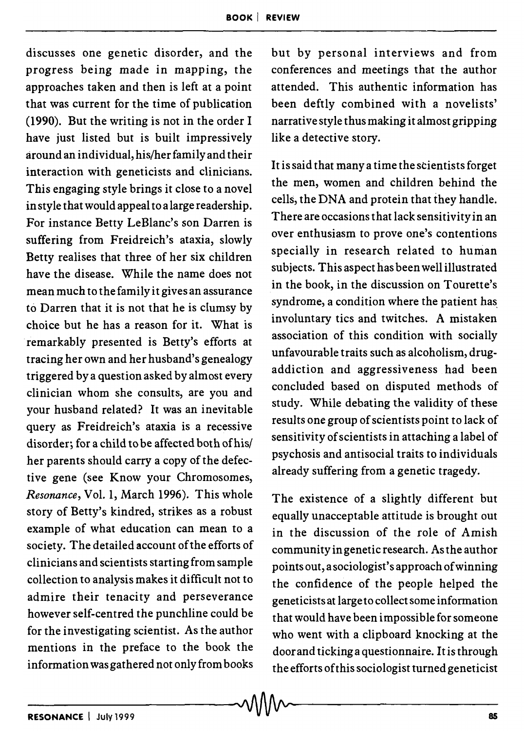discusses one genetic disorder, and the progress being made in mapping, the approaches taken and then is left at a point that was current for the time of publication (1990). But the writing is not in the order I have just listed but is built impressively around an individual, his/her family and their interaction with geneticists and clinicians. This engaging style brings it close to a novel in style that would appeal to a large readership. For instance Betty LeBlanc's son Darren is suffering from Freidreich's ataxia, slowly Betty realises that three of her six children have the disease. While the name does not mean much to the family it gives an assurance to Darren that it is not that he is clumsy by choice but he has a reason for it. What is remarkably presented is Betty's efforts at tracing her own and her husband's genealogy triggered by a question asked by almost every clinician whom she consults, are you and your husband related? It was an inevitable query as Freidreich's ataxia is a recessive disorder; for a child to be affected both of his/ her parents should carry a copy of the defective gene (see Know your Chromosomes, *Resonance,* Vol. 1, March 1996). This whole story of Betty's kindred, strikes as a robust example of what education can mean to a society. The detailed account of the efforts of clinicians and scientists starting from sample collection to analysis makes it difficult not to admire their tenacity and perseverance however self-centred the punchline could be for the investigating scientist. As the author mentions in the preface to the book the information was gathered not only from books

but by personal interviews and from conferences and meetings that the author attended. This authentic information has been deftly combined with a novelists' narrative style thus making it almost gripping like a detective story.

It is said that many a time the scientists forget the men, women and children behind the cells, the DNA and protein that they handle. There are occasions that lack sensitivity in an over enthusiasm to prove one's contentions specially in research related to human subjects. This aspect has been well illustrated in the book, in the discussion on Tourette's syndrome, a condition where the patient has involuntary tics and twitches. A mistaken association of this condition with socially unfavourable traits such as alcoholism, drugaddiction and aggressiveness had been concluded based on disputed methods of study. While debating the validity of these results one group of scientists point to lack of sensitivity of scientists in attaching a label of psychosis and antisocial traits to individuals already suffering from a genetic tragedy.

The existence of a slightly different but equally unacceptable attitude is brought out in the discussion of the role of Amish community in genetic research. As the author points out, a sociologist's approach ofwinning the confidence of the people helped the geneticists at largeto collect some information that would have been impossi ble for someone who went with a clipboard knocking at the door and ticking a questionnaire. It is through the efforts of this sociologist turned geneticist